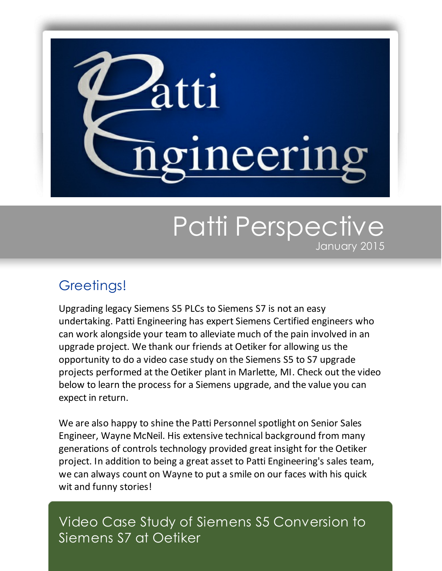

# Patti Perspective January 2015

## Greetings!

Upgrading legacy Siemens S5 PLCs to Siemens S7 is not an easy undertaking. Patti Engineering has expert Siemens Certified engineers who can work alongside your team to alleviate much of the pain involved in an upgrade project. We thank our friends at Oetiker for allowing us the opportunity to do a video case study on the Siemens S5 to S7 upgrade projects performed at the Oetiker plant in Marlette, MI. Check out the video below to learn the process for a Siemens upgrade, and the value you can expect in return.

We are also happy to shine the Patti Personnel spotlight on Senior Sales Engineer, Wayne McNeil. His extensive technical background from many generations of controls technology provided great insight for the Oetiker project. In addition to being a great asset to Patti Engineering's sales team, we can always count on Wayne to put a smile on our faces with his quick wit and funny stories!

Video Case Study of Siemens S5 Conversion to Siemens S7 at Oetiker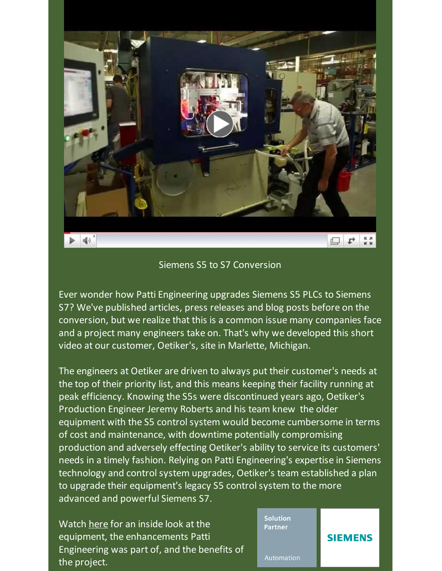

#### Siemens S5 to S7 Conversion

Ever wonder how Patti Engineering upgrades Siemens S5 PLCs to Siemens S7? We've published articles, press releases and blog posts before on the conversion, but we realize that this is a common issue many companies face and a project many engineers take on. That's why we developed this short video at our customer, Oetiker's, site in Marlette, Michigan.

The engineers at Oetiker are driven to always put their customer's needs at the top of their priority list, and this means keeping their facility running at peak efficiency. Knowing the S5s were discontinued years ago, Oetiker's Production Engineer Jeremy Roberts and his team knew the older equipment with the S5 control system would become cumbersome in terms of cost and maintenance, with downtime potentially compromising production and adversely effecting Oetiker's ability to service its customers' needs in a timely fashion. Relying on Patti Engineering's expertise in Siemens technology and control system upgrades, Oetiker's team established a plan to upgrade their equipment's legacy S5 control system to the more advanced and powerful Siemens S7.

Watch [here](http://youtu.be/l2ZqTtdFik4?utm_source=Patti+Perspective_January+2015&utm_campaign=Newsletter+January+2015&utm_medium=email) for an inside look at the equipment, the enhancements Patti Engineering was part of, and the benefits of the project.

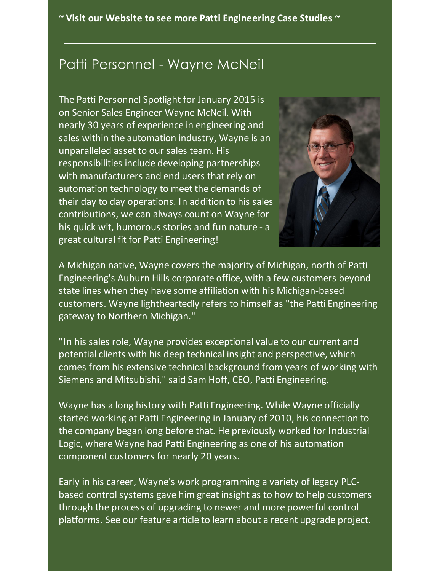**~ Visit our Website to see more Patti [Engineering](http://pattiengineering.com/case-studies/?utm_source=Patti+Perspective_January+2015&utm_campaign=Newsletter+January+2015&utm_medium=email) Case Studies ~**

### Patti Personnel - Wayne McNeil

The Patti Personnel Spotlight for January 2015 is on Senior Sales Engineer Wayne McNeil. With nearly 30 years of experience in engineering and sales within the automation industry, Wayne is an unparalleled asset to our sales team. His responsibilities include developing partnerships with manufacturers and end users that rely on automation technology to meet the demands of their day to day operations. In addition to his sales contributions, we can always count on Wayne for his quick wit, humorous stories and fun nature - a great cultural fit for Patti Engineering!



A Michigan native, Wayne covers the majority of Michigan, north of Patti Engineering's Auburn Hills corporate office, with a few customers beyond state lines when they have some affiliation with his Michigan-based customers. Wayne lightheartedly refers to himself as "the Patti Engineering gateway to Northern Michigan."

"In his sales role, Wayne provides exceptional value to our current and potential clients with his deep technical insight and perspective, which comes from his extensive technical background from years of working with Siemens and Mitsubishi," said Sam Hoff, CEO, Patti Engineering.

Wayne has a long history with Patti Engineering. While Wayne officially started working at Patti Engineering in January of 2010, his connection to the company began long before that. He previously worked for Industrial Logic, where Wayne had Patti Engineering as one of his automation component customers for nearly 20 years.

Early in his career, Wayne's work programming a variety of legacy PLCbased control systems gave him great insight as to how to help customers through the process of upgrading to newer and more powerful control platforms. See our feature article to learn about a recent upgrade project.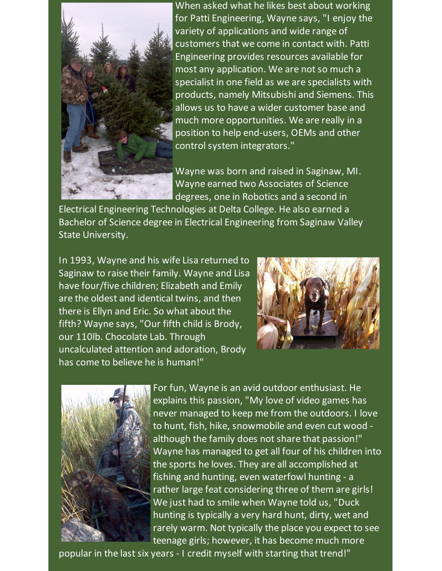

When asked what he likes best about working for Patti Engineering, Wayne says, "I enjoy the variety of applications and wide range of customers that we come in contact with. Patti Engineering provides resources available for most any application. We are not so much a specialist in one field as we are specialists with products, namely Mitsubishi and Siemens. This allows us to have a wider customer base and much more opportunities. We are really in a position to help end-users, OEMs and other control system integrators."

Wayne was born and raised in Saginaw, MI. Wayne earned two Associates of Science degrees, one in Robotics and a second in

Electrical Engineering Technologies at Delta College. He also earned a Bachelor of Science degree in Electrical Engineering from Saginaw Valley State University.

In 1993, Wayne and his wife Lisa returned to Saginaw to raise their family. Wayne and Lisa have four/five children; Elizabeth and Emily are the oldest and identical twins, and then there is Ellyn and Eric. So what about the fifth? Wayne says, "Our fifth child is Brody, our 110lb. Chocolate Lab. Through uncalculated attention and adoration, Brody has come to believe he is human!"





For fun, Wayne is an avid outdoor enthusiast. He explains this passion, "My love of video games has never managed to keep me from the outdoors. I love to hunt, fish, hike, snowmobile and even cut wood although the family does not share that passion!" Wayne has managed to get all four of his children into the sports he loves. They are all accomplished at fishing and hunting, even waterfowl hunting - a rather large feat considering three of them are girls! We just had to smile when Wayne told us, "Duck hunting is typically a very hard hunt, dirty, wet and rarely warm. Not typically the place you expect to see teenage girls; however, it has become much more

popular in the last six years - I credit myself with starting that trend!"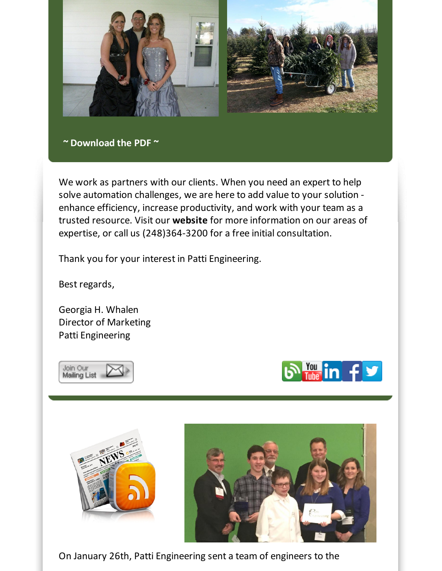

#### **~ [Download](https://files.ctctcdn.com/59cb3837001/f0d5342e-fadf-4544-8e41-4a83b8d37929.pdf?utm_source=Patti+Perspective_January+2015&utm_campaign=Newsletter+January+2015&utm_medium=email) the PDF ~**

We work as partners with our clients. When you need an expert to help solve automation challenges, we are here to add value to your solution enhance efficiency, increase productivity, and work with your team as a trusted resource. Visit our **[website](http://www.pattieng.com/expertise.html?utm_source=Patti+Perspective_January+2015&utm_campaign=Newsletter+January+2015&utm_medium=email)** for more information on our areas of expertise, or call us (248)364-3200 for a free initial consultation.

Thank you for your interest in Patti Engineering.

Best regards,

Georgia H. Whalen Director of Marketing Patti Engineering







On January 26th, Patti Engineering sent a team of engineers to the